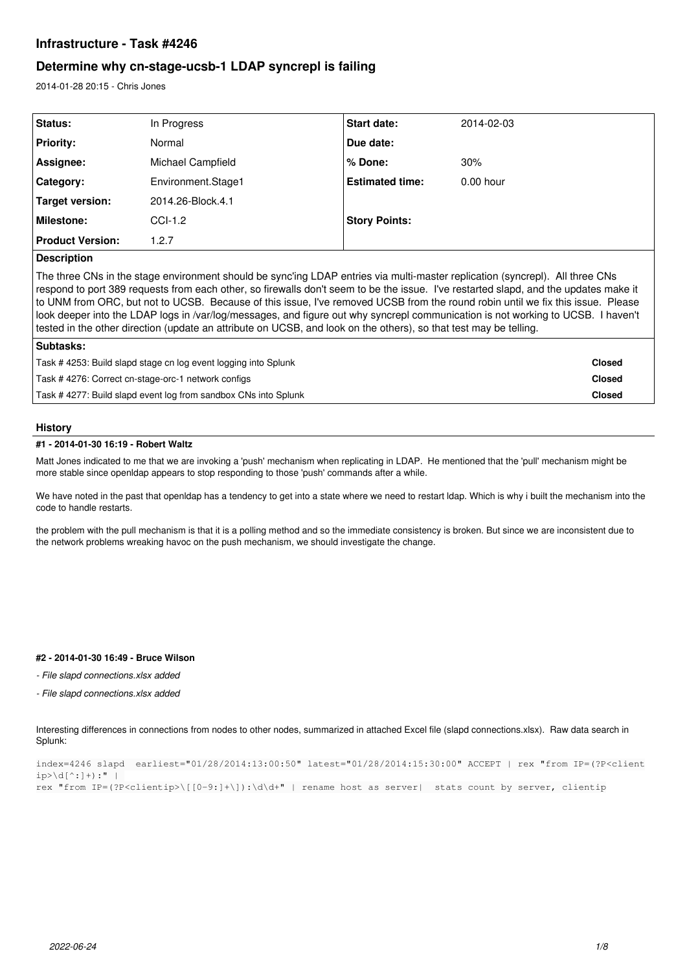# **Infrastructure - Task #4246**

# **Determine why cn-stage-ucsb-1 LDAP syncrepl is failing**

2014-01-28 20:15 - Chris Jones

| <b>Status:</b>          | In Progress        | Start date:            | 2014-02-03  |
|-------------------------|--------------------|------------------------|-------------|
| <b>Priority:</b>        | Normal             | Due date:              |             |
| Assignee:               | Michael Campfield  | % Done:                | 30%         |
| Category:               | Environment.Stage1 | <b>Estimated time:</b> | $0.00$ hour |
| Target version:         | 2014.26-Block.4.1  |                        |             |
| <b>Milestone:</b>       | $CCL-1.2$          | <b>Story Points:</b>   |             |
| <b>Product Version:</b> | 1.2.7              |                        |             |
|                         |                    |                        |             |

## **Description**

The three CNs in the stage environment should be sync'ing LDAP entries via multi-master replication (syncrepl). All three CNs respond to port 389 requests from each other, so firewalls don't seem to be the issue. I've restarted slapd, and the updates make it to UNM from ORC, but not to UCSB. Because of this issue, I've removed UCSB from the round robin until we fix this issue. Please look deeper into the LDAP logs in /var/log/messages, and figure out why syncrepl communication is not working to UCSB. I haven't tested in the other direction (update an attribute on UCSB, and look on the others), so that test may be telling.

| Subtasks:                                                      |               |
|----------------------------------------------------------------|---------------|
| Task #4253: Build slapd stage cn log event logging into Splunk | <b>Closed</b> |
| Task #4276: Correct cn-stage-orc-1 network configs             | <b>Closed</b> |
| Task #4277: Build slapd event log from sandbox CNs into Splunk | <b>Closed</b> |
|                                                                |               |

## **History**

## **#1 - 2014-01-30 16:19 - Robert Waltz**

Matt Jones indicated to me that we are invoking a 'push' mechanism when replicating in LDAP. He mentioned that the 'pull' mechanism might be more stable since openldap appears to stop responding to those 'push' commands after a while.

We have noted in the past that openldap has a tendency to get into a state where we need to restart ldap. Which is why i built the mechanism into the code to handle restarts.

the problem with the pull mechanism is that it is a polling method and so the immediate consistency is broken. But since we are inconsistent due to the network problems wreaking havoc on the push mechanism, we should investigate the change.

## **#2 - 2014-01-30 16:49 - Bruce Wilson**

*- File slapd connections.xlsx added*

*- File slapd connections.xlsx added*

Interesting differences in connections from nodes to other nodes, summarized in attached Excel file (slapd connections.xlsx). Raw data search in Splunk:

index=4246 slapd earliest="01/28/2014:13:00:50" latest="01/28/2014:15:30:00" ACCEPT | rex "from IP=(?P<client  $ip>\ddots$ ]+):" | rex "from IP=(?P<clientip>\[[0-9:]+\]):\d\d+" | rename host as server| stats count by server, clientip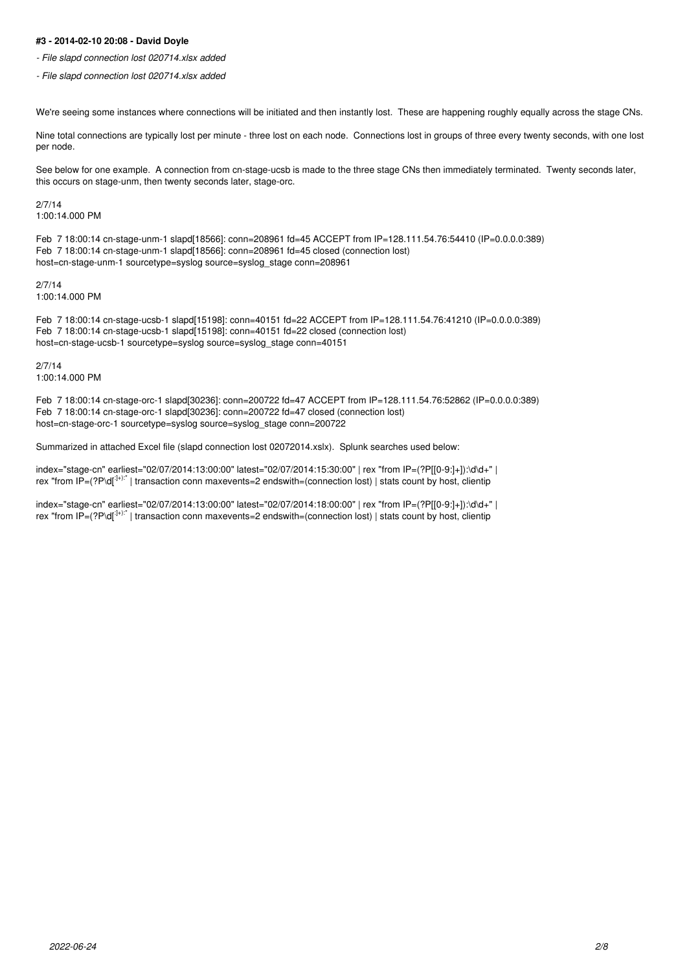## **#3 - 2014-02-10 20:08 - David Doyle**

*- File slapd connection lost 020714.xlsx added*

*- File slapd connection lost 020714.xlsx added*

We're seeing some instances where connections will be initiated and then instantly lost. These are happening roughly equally across the stage CNs.

Nine total connections are typically lost per minute - three lost on each node. Connections lost in groups of three every twenty seconds, with one lost per node.

See below for one example. A connection from cn-stage-ucsb is made to the three stage CNs then immediately terminated. Twenty seconds later, this occurs on stage-unm, then twenty seconds later, stage-orc.

## 2/7/14

1:00:14.000 PM

Feb 7 18:00:14 cn-stage-unm-1 slapd[18566]: conn=208961 fd=45 ACCEPT from IP=128.111.54.76:54410 (IP=0.0.0.0:389) Feb 7 18:00:14 cn-stage-unm-1 slapd[18566]: conn=208961 fd=45 closed (connection lost) host=cn-stage-unm-1 sourcetype=syslog source=syslog\_stage conn=208961

2/7/14

1:00:14.000 PM

Feb 7 18:00:14 cn-stage-ucsb-1 slapd[15198]: conn=40151 fd=22 ACCEPT from IP=128.111.54.76:41210 (IP=0.0.0.0:389) Feb 7 18:00:14 cn-stage-ucsb-1 slapd[15198]: conn=40151 fd=22 closed (connection lost) host=cn-stage-ucsb-1 sourcetype=syslog source=syslog\_stage conn=40151

2/7/14 1:00:14.000 PM

Feb 7 18:00:14 cn-stage-orc-1 slapd[30236]: conn=200722 fd=47 ACCEPT from IP=128.111.54.76:52862 (IP=0.0.0.0:389) Feb 7 18:00:14 cn-stage-orc-1 slapd[30236]: conn=200722 fd=47 closed (connection lost) host=cn-stage-orc-1 sourcetype=syslog source=syslog\_stage conn=200722

Summarized in attached Excel file (slapd connection lost 02072014.xslx). Splunk searches used below:

index="stage-cn" earliest="02/07/2014:13:00:00" latest="02/07/2014:15:30:00" | rex "from IP=(?P[[0-9:]+]):\d\d+" | rex "from IP=(?P\d[:]+):" | transaction conn maxevents=2 endswith=(connection lost) | stats count by host, clientip

index="stage-cn" earliest="02/07/2014:13:00:00" latest="02/07/2014:18:00:00" | rex "from IP=(?P[[0-9:]+]):\d\d+" | rex "from IP=(?P\d[:]+):" | transaction conn maxevents=2 endswith=(connection lost) | stats count by host, clientip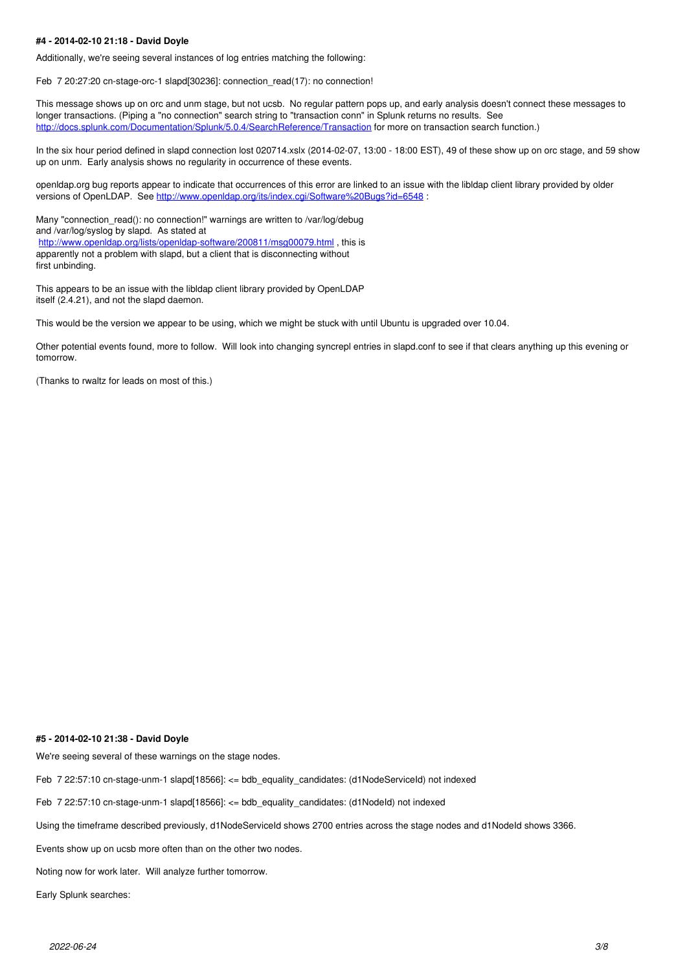### **#4 - 2014-02-10 21:18 - David Doyle**

Additionally, we're seeing several instances of log entries matching the following:

Feb 7 20:27:20 cn-stage-orc-1 slapd[30236]: connection\_read(17): no connection!

This message shows up on orc and unm stage, but not ucsb. No regular pattern pops up, and early analysis doesn't connect these messages to longer transactions. (Piping a "no connection" search string to "transaction conn" in Splunk returns no results. See <http://docs.splunk.com/Documentation/Splunk/5.0.4/SearchReference/Transaction>for more on transaction search function.)

In the six hour period defined in slapd connection lost 020714.xslx (2014-02-07, 13:00 - 18:00 EST), 49 of these show up on orc stage, and 59 show up on unm. Early analysis shows no regularity in occurrence of these events.

openldap.org bug reports appear to indicate that occurrences of this error are linked to an issue with the libldap client library provided by older versions of OpenLDAP. See <http://www.openldap.org/its/index.cgi/Software%20Bugs?id=6548> :

Many "connection\_read(): no connection!" warnings are written to /var/log/debug and /var/log/syslog by slapd. As stated at <http://www.openldap.org/lists/openldap-software/200811/msg00079.html>, this is apparently not a problem with slapd, but a client that is disconnecting without first unbinding.

This appears to be an issue with the libldap client library provided by OpenLDAP itself (2.4.21), and not the slapd daemon.

This would be the version we appear to be using, which we might be stuck with until Ubuntu is upgraded over 10.04.

Other potential events found, more to follow. Will look into changing syncrepl entries in slapd.conf to see if that clears anything up this evening or tomorrow.

(Thanks to rwaltz for leads on most of this.)

#### **#5 - 2014-02-10 21:38 - David Doyle**

We're seeing several of these warnings on the stage nodes.

Feb 7 22:57:10 cn-stage-unm-1 slapd[18566]: <= bdb\_equality\_candidates: (d1NodeServiceId) not indexed

Feb 7 22:57:10 cn-stage-unm-1 slapd[18566]: <= bdb\_equality\_candidates: (d1NodeId) not indexed

Using the timeframe described previously, d1NodeServiceId shows 2700 entries across the stage nodes and d1NodeId shows 3366.

Events show up on ucsb more often than on the other two nodes.

Noting now for work later. Will analyze further tomorrow.

Early Splunk searches: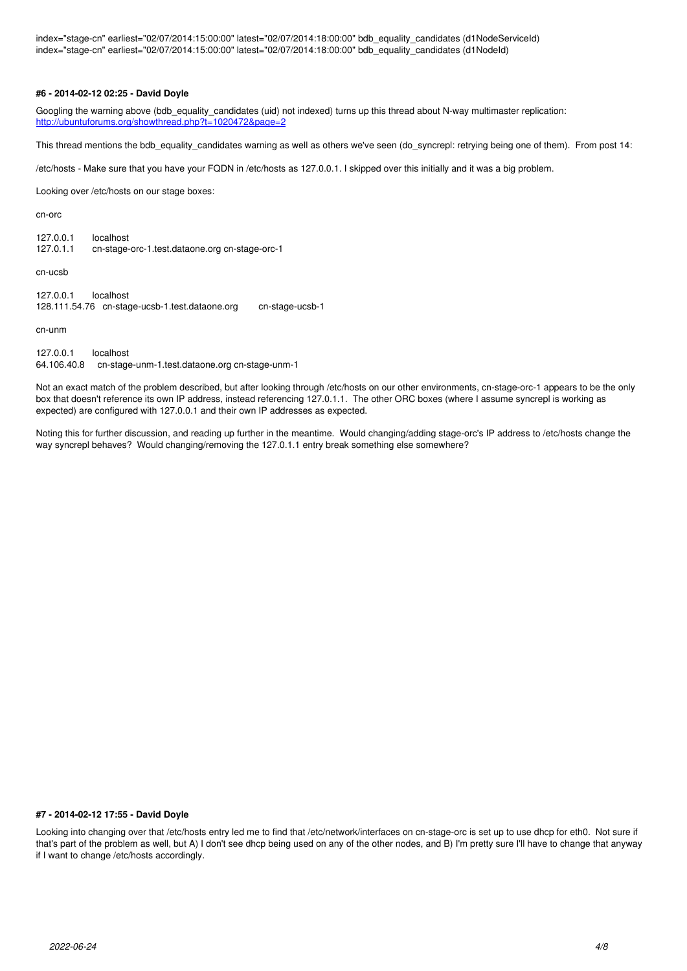index="stage-cn" earliest="02/07/2014:15:00:00" latest="02/07/2014:18:00:00" bdb\_equality\_candidates (d1NodeServiceId) index="stage-cn" earliest="02/07/2014:15:00:00" latest="02/07/2014:18:00:00" bdb\_equality\_candidates (d1NodeId)

### **#6 - 2014-02-12 02:25 - David Doyle**

Googling the warning above (bdb\_equality\_candidates (uid) not indexed) turns up this thread about N-way multimaster replication: <http://ubuntuforums.org/showthread.php?t=1020472&page=2>

This thread mentions the bdb\_equality\_candidates warning as well as others we've seen (do\_syncrepl: retrying being one of them). From post 14:

/etc/hosts - Make sure that you have your FQDN in /etc/hosts as 127.0.0.1. I skipped over this initially and it was a big problem.

Looking over /etc/hosts on our stage boxes:

cn-orc

127.0.0.1 localhost<br>127.0.1.1 cn-stage 127.0.1.1 cn-stage-orc-1.test.dataone.org cn-stage-orc-1

cn-ucsb

| 127.0.0.1 | localhost                                      |                 |
|-----------|------------------------------------------------|-----------------|
|           | 128.111.54.76 cn-stage-ucsb-1.test.dataone.org | cn-stage-ucsb-1 |

cn-unm

127.0.0.1 localhost 64.106.40.8 cn-stage-unm-1.test.dataone.org cn-stage-unm-1

Not an exact match of the problem described, but after looking through /etc/hosts on our other environments, cn-stage-orc-1 appears to be the only box that doesn't reference its own IP address, instead referencing 127.0.1.1. The other ORC boxes (where I assume syncrepl is working as expected) are configured with 127.0.0.1 and their own IP addresses as expected.

Noting this for further discussion, and reading up further in the meantime. Would changing/adding stage-orc's IP address to /etc/hosts change the way syncrepl behaves? Would changing/removing the 127.0.1.1 entry break something else somewhere?

#### **#7 - 2014-02-12 17:55 - David Doyle**

Looking into changing over that /etc/hosts entry led me to find that /etc/network/interfaces on cn-stage-orc is set up to use dhcp for eth0. Not sure if that's part of the problem as well, but A) I don't see dhcp being used on any of the other nodes, and B) I'm pretty sure I'll have to change that anyway if I want to change /etc/hosts accordingly.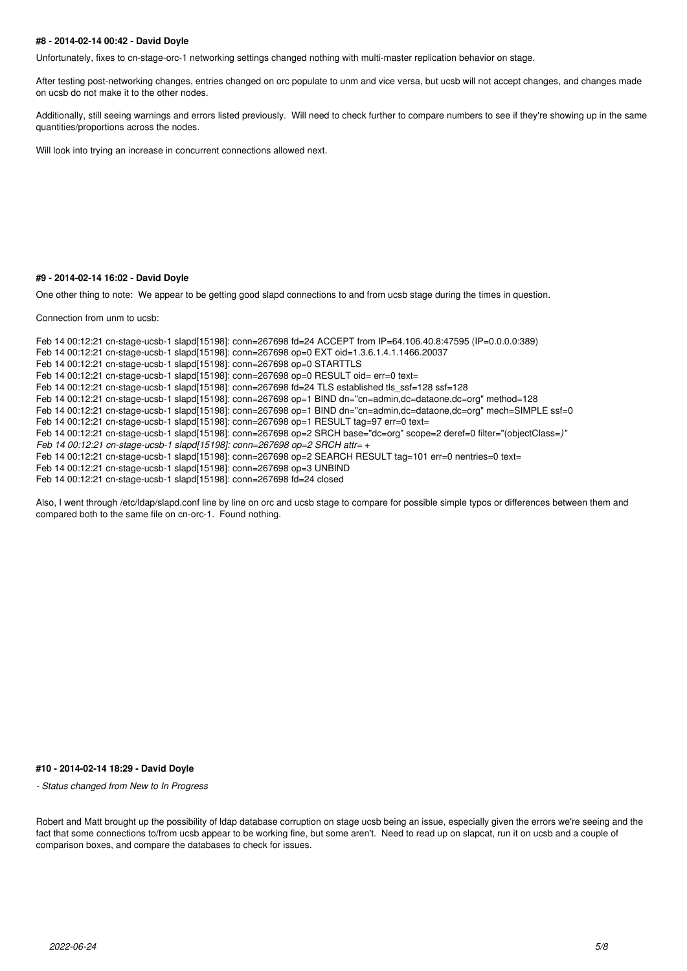### **#8 - 2014-02-14 00:42 - David Doyle**

Unfortunately, fixes to cn-stage-orc-1 networking settings changed nothing with multi-master replication behavior on stage.

After testing post-networking changes, entries changed on orc populate to unm and vice versa, but ucsb will not accept changes, and changes made on ucsb do not make it to the other nodes.

Additionally, still seeing warnings and errors listed previously. Will need to check further to compare numbers to see if they're showing up in the same quantities/proportions across the nodes.

Will look into trying an increase in concurrent connections allowed next.

#### **#9 - 2014-02-14 16:02 - David Doyle**

One other thing to note: We appear to be getting good slapd connections to and from ucsb stage during the times in question.

Connection from unm to ucsb:

Feb 14 00:12:21 cn-stage-ucsb-1 slapd[15198]: conn=267698 fd=24 ACCEPT from IP=64.106.40.8:47595 (IP=0.0.0.0:389) Feb 14 00:12:21 cn-stage-ucsb-1 slapd[15198]: conn=267698 op=0 EXT oid=1.3.6.1.4.1.1466.20037 Feb 14 00:12:21 cn-stage-ucsb-1 slapd[15198]: conn=267698 op=0 STARTTLS Feb 14 00:12:21 cn-stage-ucsb-1 slapd[15198]: conn=267698 op=0 RESULT oid= err=0 text= Feb 14 00:12:21 cn-stage-ucsb-1 slapd[15198]: conn=267698 fd=24 TLS established tls\_ssf=128 ssf=128 Feb 14 00:12:21 cn-stage-ucsb-1 slapd[15198]: conn=267698 op=1 BIND dn="cn=admin,dc=dataone,dc=org" method=128 Feb 14 00:12:21 cn-stage-ucsb-1 slapd[15198]: conn=267698 op=1 BIND dn="cn=admin,dc=dataone,dc=org" mech=SIMPLE ssf=0 Feb 14 00:12:21 cn-stage-ucsb-1 slapd[15198]: conn=267698 op=1 RESULT tag=97 err=0 text= Feb 14 00:12:21 cn-stage-ucsb-1 slapd[15198]: conn=267698 op=2 SRCH base="dc=org" scope=2 deref=0 filter="(objectClass=*)" Feb 14 00:12:21 cn-stage-ucsb-1 slapd[15198]: conn=267698 op=2 SRCH attr=* + Feb 14 00:12:21 cn-stage-ucsb-1 slapd[15198]: conn=267698 op=2 SEARCH RESULT tag=101 err=0 nentries=0 text= Feb 14 00:12:21 cn-stage-ucsb-1 slapd[15198]: conn=267698 op=3 UNBIND Feb 14 00:12:21 cn-stage-ucsb-1 slapd[15198]: conn=267698 fd=24 closed

Also, I went through /etc/ldap/slapd.conf line by line on orc and ucsb stage to compare for possible simple typos or differences between them and compared both to the same file on cn-orc-1. Found nothing.

#### **#10 - 2014-02-14 18:29 - David Doyle**

*- Status changed from New to In Progress*

Robert and Matt brought up the possibility of Idap database corruption on stage ucsb being an issue, especially given the errors we're seeing and the fact that some connections to/from ucsb appear to be working fine, but some aren't. Need to read up on slapcat, run it on ucsb and a couple of comparison boxes, and compare the databases to check for issues.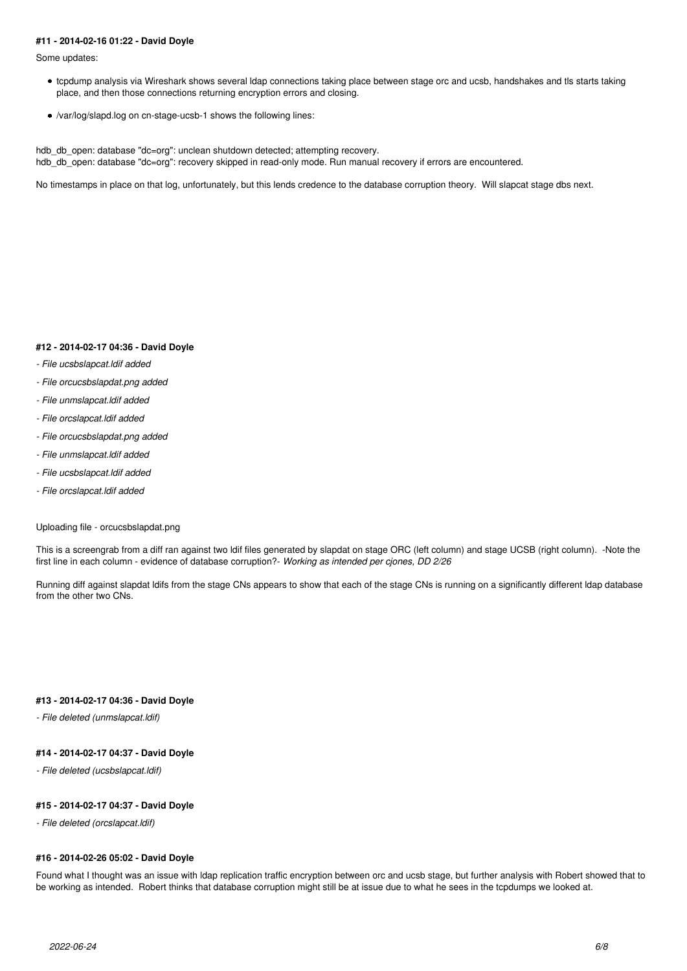### **#11 - 2014-02-16 01:22 - David Doyle**

Some updates:

- tcpdump analysis via Wireshark shows several ldap connections taking place between stage orc and ucsb, handshakes and tls starts taking place, and then those connections returning encryption errors and closing.
- /var/log/slapd.log on cn-stage-ucsb-1 shows the following lines:

hdb\_db\_open: database "dc=org": unclean shutdown detected; attempting recovery. hdb\_db\_open: database "dc=org": recovery skipped in read-only mode. Run manual recovery if errors are encountered.

No timestamps in place on that log, unfortunately, but this lends credence to the database corruption theory. Will slapcat stage dbs next.

#### **#12 - 2014-02-17 04:36 - David Doyle**

- *File ucsbslapcat.ldif added*
- *File orcucsbslapdat.png added*
- *File unmslapcat.ldif added*
- *File orcslapcat.ldif added*
- *File orcucsbslapdat.png added*
- *File unmslapcat.ldif added*
- *File ucsbslapcat.ldif added*
- *File orcslapcat.ldif added*

### Uploading file - orcucsbslapdat.png

This is a screengrab from a diff ran against two ldif files generated by slapdat on stage ORC (left column) and stage UCSB (right column). -Note the first line in each column - evidence of database corruption?- *Working as intended per cjones, DD 2/26*

Running diff against slapdat ldifs from the stage CNs appears to show that each of the stage CNs is running on a significantly different ldap database from the other two CNs.

## **#13 - 2014-02-17 04:36 - David Doyle**

*- File deleted (unmslapcat.ldif)*

### **#14 - 2014-02-17 04:37 - David Doyle**

*- File deleted (ucsbslapcat.ldif)*

### **#15 - 2014-02-17 04:37 - David Doyle**

*- File deleted (orcslapcat.ldif)*

#### **#16 - 2014-02-26 05:02 - David Doyle**

Found what I thought was an issue with ldap replication traffic encryption between orc and ucsb stage, but further analysis with Robert showed that to be working as intended. Robert thinks that database corruption might still be at issue due to what he sees in the tcpdumps we looked at.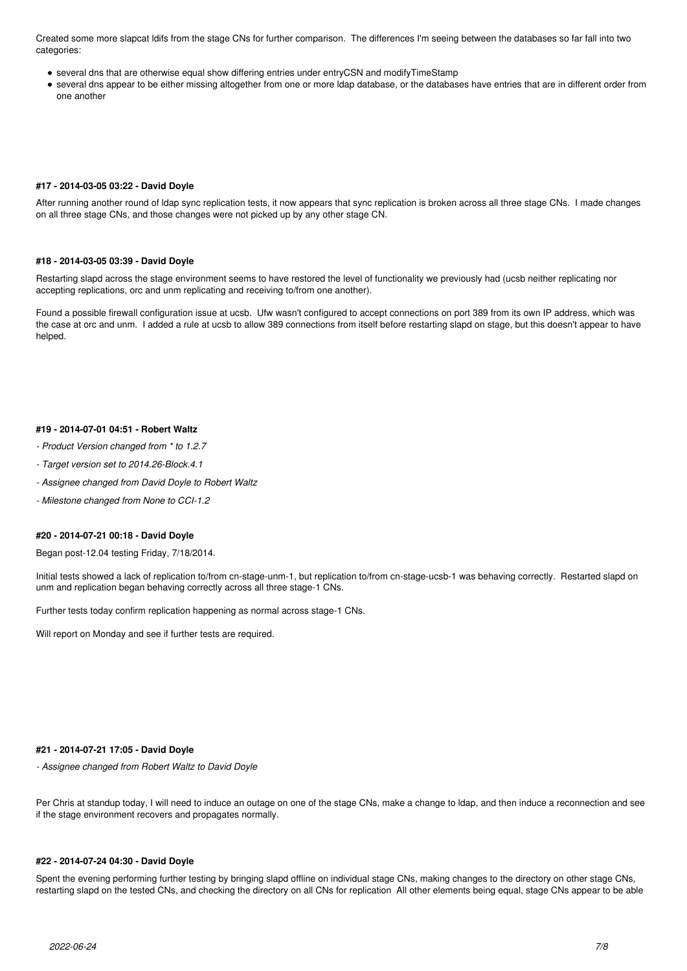Created some more slapcat ldifs from the stage CNs for further comparison. The differences I'm seeing between the databases so far fall into two categories:

- several dns that are otherwise equal show differing entries under entryCSN and modifyTimeStamp
- several dns appear to be either missing altogether from one or more ldap database, or the databases have entries that are in different order from one another

## **#17 - 2014-03-05 03:22 - David Doyle**

After running another round of ldap sync replication tests, it now appears that sync replication is broken across all three stage CNs. I made changes on all three stage CNs, and those changes were not picked up by any other stage CN.

#### **#18 - 2014-03-05 03:39 - David Doyle**

Restarting slapd across the stage environment seems to have restored the level of functionality we previously had (ucsb neither replicating nor accepting replications, orc and unm replicating and receiving to/from one another).

Found a possible firewall configuration issue at ucsb. Ufw wasn't configured to accept connections on port 389 from its own IP address, which was the case at orc and unm. I added a rule at ucsb to allow 389 connections from itself before restarting slapd on stage, but this doesn't appear to have helped.

### **#19 - 2014-07-01 04:51 - Robert Waltz**

- *Product Version changed from \* to 1.2.7*
- *Target version set to 2014.26-Block.4.1*
- *Assignee changed from David Doyle to Robert Waltz*
- *Milestone changed from None to CCI-1.2*

#### **#20 - 2014-07-21 00:18 - David Doyle**

Began post-12.04 testing Friday, 7/18/2014.

Initial tests showed a lack of replication to/from cn-stage-unm-1, but replication to/from cn-stage-ucsb-1 was behaving correctly. Restarted slapd on unm and replication began behaving correctly across all three stage-1 CNs.

Further tests today confirm replication happening as normal across stage-1 CNs.

Will report on Monday and see if further tests are required.

#### **#21 - 2014-07-21 17:05 - David Doyle**

*- Assignee changed from Robert Waltz to David Doyle*

Per Chris at standup today, I will need to induce an outage on one of the stage CNs, make a change to ldap, and then induce a reconnection and see if the stage environment recovers and propagates normally.

#### **#22 - 2014-07-24 04:30 - David Doyle**

Spent the evening performing further testing by bringing slapd offline on individual stage CNs, making changes to the directory on other stage CNs, restarting slapd on the tested CNs, and checking the directory on all CNs for replication All other elements being equal, stage CNs appear to be able